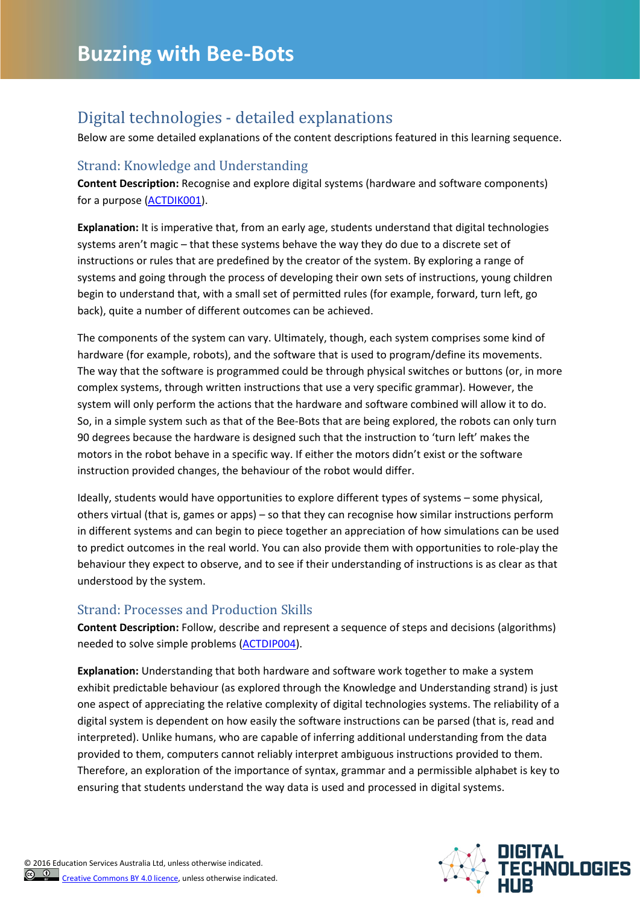## Digital technologies - detailed explanations

Below are some detailed explanations of the content descriptions featured in this learning sequence.

## Strand: Knowledge and Understanding

**Content Description:** Recognise and explore digital systems (hardware and software components) for a purpose [\(ACTDIK001\)](http://www.australiancurriculum.edu.au/technologies/digital-technologies/curriculum/f-10?layout=1#cdcode=ACTDIK001&level=F-2).

**Explanation:** It is imperative that, from an early age, students understand that digital technologies systems aren't magic – that these systems behave the way they do due to a discrete set of instructions or rules that are predefined by the creator of the system. By exploring a range of systems and going through the process of developing their own sets of instructions, young children begin to understand that, with a small set of permitted rules (for example, forward, turn left, go back), quite a number of different outcomes can be achieved.

The components of the system can vary. Ultimately, though, each system comprises some kind of hardware (for example, robots), and the software that is used to program/define its movements. The way that the software is programmed could be through physical switches or buttons (or, in more complex systems, through written instructions that use a very specific grammar). However, the system will only perform the actions that the hardware and software combined will allow it to do. So, in a simple system such as that of the Bee-Bots that are being explored, the robots can only turn 90 degrees because the hardware is designed such that the instruction to 'turn left' makes the motors in the robot behave in a specific way. If either the motors didn't exist or the software instruction provided changes, the behaviour of the robot would differ.

Ideally, students would have opportunities to explore different types of systems – some physical, others virtual (that is, games or apps) – so that they can recognise how similar instructions perform in different systems and can begin to piece together an appreciation of how simulations can be used to predict outcomes in the real world. You can also provide them with opportunities to role-play the behaviour they expect to observe, and to see if their understanding of instructions is as clear as that understood by the system.

## Strand: Processes and Production Skills

**Content Description:** Follow, describe and represent a sequence of steps and decisions (algorithms) needed to solve simple problems [\(ACTDIP004\)](http://www.australiancurriculum.edu.au/technologies/digital-technologies/curriculum/f-10?layout=1#cdcode=ACTDIP004&level=F-2).

**Explanation:** Understanding that both hardware and software work together to make a system exhibit predictable behaviour (as explored through the Knowledge and Understanding strand) is just one aspect of appreciating the relative complexity of digital technologies systems. The reliability of a digital system is dependent on how easily the software instructions can be parsed (that is, read and interpreted). Unlike humans, who are capable of inferring additional understanding from the data provided to them, computers cannot reliably interpret ambiguous instructions provided to them. Therefore, an exploration of the importance of syntax, grammar and a permissible alphabet is key to ensuring that students understand the way data is used and processed in digital systems.